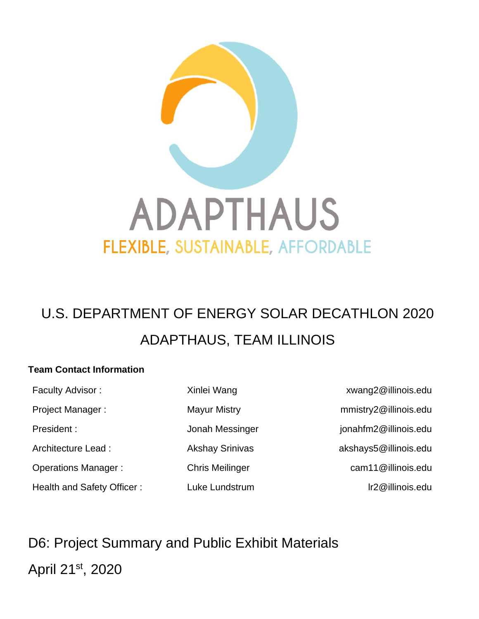

# U.S. DEPARTMENT OF ENERGY SOLAR DECATHLON 2020 ADAPTHAUS, TEAM ILLINOIS

#### **Team Contact Information**

Faculty Advisor : The State of Mang Xinlei Wang **Xinlei Wang Xinlei State of Australian** Xinlei Recults Xinlei R Project Manager : Mayur Mistry metal metal mustry2@illinois.edu President : vertext of the state of Jonah Messinger and the settlement in president : Architecture Lead : <br>Akshay Srinivas akshays5@illinois.edu Operations Manager : Chris Meilinger cam11@illinois.edu Health and Safety Officer : Luke Lundstrum lines are lines and safety Officer : lines and late Lundstrum lines

D6: Project Summary and Public Exhibit Materials April 21st, 2020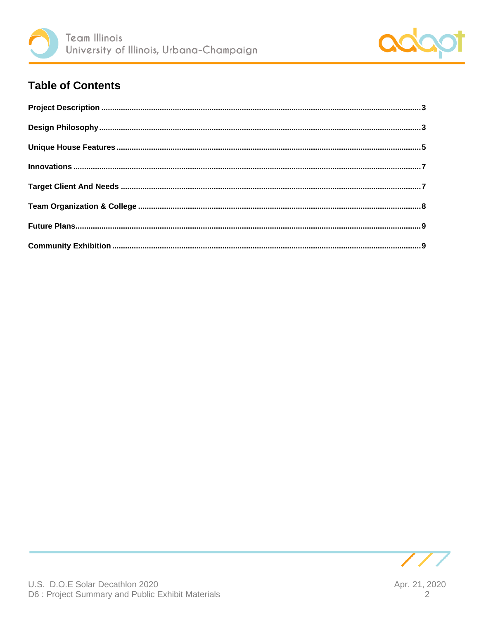



## **Table of Contents**

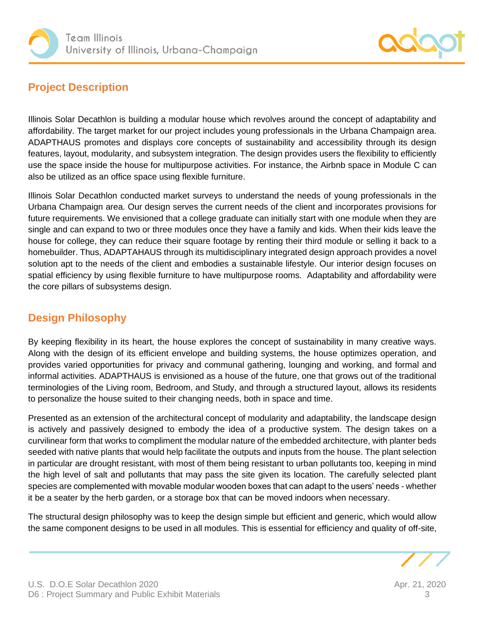



## <span id="page-2-0"></span>**Project Description**

Illinois Solar Decathlon is building a modular house which revolves around the concept of adaptability and affordability. The target market for our project includes young professionals in the Urbana Champaign area. ADAPTHAUS promotes and displays core concepts of sustainability and accessibility through its design features, layout, modularity, and subsystem integration. The design provides users the flexibility to efficiently use the space inside the house for multipurpose activities. For instance, the Airbnb space in Module C can also be utilized as an office space using flexible furniture.

Illinois Solar Decathlon conducted market surveys to understand the needs of young professionals in the Urbana Champaign area. Our design serves the current needs of the client and incorporates provisions for future requirements. We envisioned that a college graduate can initially start with one module when they are single and can expand to two or three modules once they have a family and kids. When their kids leave the house for college, they can reduce their square footage by renting their third module or selling it back to a homebuilder. Thus, ADAPTAHAUS through its multidisciplinary integrated design approach provides a novel solution apt to the needs of the client and embodies a sustainable lifestyle. Our interior design focuses on spatial efficiency by using flexible furniture to have multipurpose rooms. Adaptability and affordability were the core pillars of subsystems design.

## <span id="page-2-1"></span>**Design Philosophy**

By keeping flexibility in its heart, the house explores the concept of sustainability in many creative ways. Along with the design of its efficient envelope and building systems, the house optimizes operation, and provides varied opportunities for privacy and communal gathering, lounging and working, and formal and informal activities. ADAPTHAUS is envisioned as a house of the future, one that grows out of the traditional terminologies of the Living room, Bedroom, and Study, and through a structured layout, allows its residents to personalize the house suited to their changing needs, both in space and time.

Presented as an extension of the architectural concept of modularity and adaptability, the landscape design is actively and passively designed to embody the idea of a productive system. The design takes on a curvilinear form that works to compliment the modular nature of the embedded architecture, with planter beds seeded with native plants that would help facilitate the outputs and inputs from the house. The plant selection in particular are drought resistant, with most of them being resistant to urban pollutants too, keeping in mind the high level of salt and pollutants that may pass the site given its location. The carefully selected plant species are complemented with movable modular wooden boxes that can adapt to the users' needs - whether it be a seater by the herb garden, or a storage box that can be moved indoors when necessary.

The structural design philosophy was to keep the design simple but efficient and generic, which would allow the same component designs to be used in all modules. This is essential for efficiency and quality of off-site,

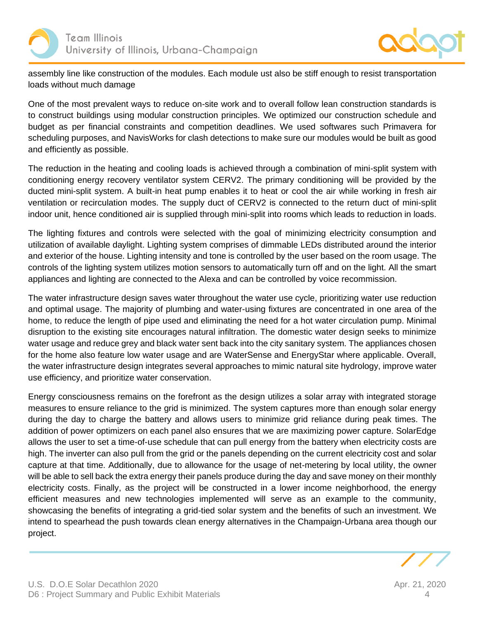



assembly line like construction of the modules. Each module ust also be stiff enough to resist transportation loads without much damage

One of the most prevalent ways to reduce on-site work and to overall follow lean construction standards is to construct buildings using modular construction principles. We optimized our construction schedule and budget as per financial constraints and competition deadlines. We used softwares such Primavera for scheduling purposes, and NavisWorks for clash detections to make sure our modules would be built as good and efficiently as possible.

The reduction in the heating and cooling loads is achieved through a combination of mini-split system with conditioning energy recovery ventilator system CERV2. The primary conditioning will be provided by the ducted mini-split system. A built-in heat pump enables it to heat or cool the air while working in fresh air ventilation or recirculation modes. The supply duct of CERV2 is connected to the return duct of mini-split indoor unit, hence conditioned air is supplied through mini-split into rooms which leads to reduction in loads.

The lighting fixtures and controls were selected with the goal of minimizing electricity consumption and utilization of available daylight. Lighting system comprises of dimmable LEDs distributed around the interior and exterior of the house. Lighting intensity and tone is controlled by the user based on the room usage. The controls of the lighting system utilizes motion sensors to automatically turn off and on the light. All the smart appliances and lighting are connected to the Alexa and can be controlled by voice recommission.

The water infrastructure design saves water throughout the water use cycle, prioritizing water use reduction and optimal usage. The majority of plumbing and water-using fixtures are concentrated in one area of the home, to reduce the length of pipe used and eliminating the need for a hot water circulation pump. Minimal disruption to the existing site encourages natural infiltration. The domestic water design seeks to minimize water usage and reduce grey and black water sent back into the city sanitary system. The appliances chosen for the home also feature low water usage and are WaterSense and EnergyStar where applicable. Overall, the water infrastructure design integrates several approaches to mimic natural site hydrology, improve water use efficiency, and prioritize water conservation.

Energy consciousness remains on the forefront as the design utilizes a solar array with integrated storage measures to ensure reliance to the grid is minimized. The system captures more than enough solar energy during the day to charge the battery and allows users to minimize grid reliance during peak times. The addition of power optimizers on each panel also ensures that we are maximizing power capture. SolarEdge allows the user to set a time-of-use schedule that can pull energy from the battery when electricity costs are high. The inverter can also pull from the grid or the panels depending on the current electricity cost and solar capture at that time. Additionally, due to allowance for the usage of net-metering by local utility, the owner will be able to sell back the extra energy their panels produce during the day and save money on their monthly electricity costs. Finally, as the project will be constructed in a lower income neighborhood, the energy efficient measures and new technologies implemented will serve as an example to the community, showcasing the benefits of integrating a grid-tied solar system and the benefits of such an investment. We intend to spearhead the push towards clean energy alternatives in the Champaign-Urbana area though our project.

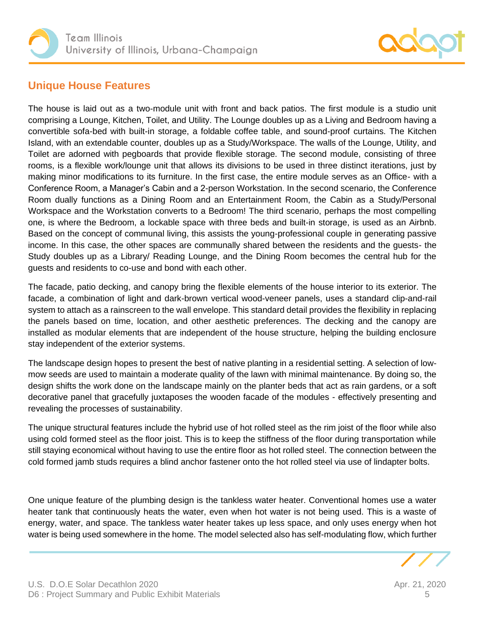



### <span id="page-4-0"></span>**Unique House Features**

The house is laid out as a two-module unit with front and back patios. The first module is a studio unit comprising a Lounge, Kitchen, Toilet, and Utility. The Lounge doubles up as a Living and Bedroom having a convertible sofa-bed with built-in storage, a foldable coffee table, and sound-proof curtains. The Kitchen Island, with an extendable counter, doubles up as a Study/Workspace. The walls of the Lounge, Utility, and Toilet are adorned with pegboards that provide flexible storage. The second module, consisting of three rooms, is a flexible work/lounge unit that allows its divisions to be used in three distinct iterations, just by making minor modifications to its furniture. In the first case, the entire module serves as an Office- with a Conference Room, a Manager's Cabin and a 2-person Workstation. In the second scenario, the Conference Room dually functions as a Dining Room and an Entertainment Room, the Cabin as a Study/Personal Workspace and the Workstation converts to a Bedroom! The third scenario, perhaps the most compelling one, is where the Bedroom, a lockable space with three beds and built-in storage, is used as an Airbnb. Based on the concept of communal living, this assists the young-professional couple in generating passive income. In this case, the other spaces are communally shared between the residents and the guests- the Study doubles up as a Library/ Reading Lounge, and the Dining Room becomes the central hub for the guests and residents to co-use and bond with each other.

The facade, patio decking, and canopy bring the flexible elements of the house interior to its exterior. The facade, a combination of light and dark-brown vertical wood-veneer panels, uses a standard clip-and-rail system to attach as a rainscreen to the wall envelope. This standard detail provides the flexibility in replacing the panels based on time, location, and other aesthetic preferences. The decking and the canopy are installed as modular elements that are independent of the house structure, helping the building enclosure stay independent of the exterior systems.

The landscape design hopes to present the best of native planting in a residential setting. A selection of lowmow seeds are used to maintain a moderate quality of the lawn with minimal maintenance. By doing so, the design shifts the work done on the landscape mainly on the planter beds that act as rain gardens, or a soft decorative panel that gracefully juxtaposes the wooden facade of the modules - effectively presenting and revealing the processes of sustainability.

The unique structural features include the hybrid use of hot rolled steel as the rim joist of the floor while also using cold formed steel as the floor joist. This is to keep the stiffness of the floor during transportation while still staying economical without having to use the entire floor as hot rolled steel. The connection between the cold formed jamb studs requires a blind anchor fastener onto the hot rolled steel via use of lindapter bolts.

One unique feature of the plumbing design is the tankless water heater. Conventional homes use a water heater tank that continuously heats the water, even when hot water is not being used. This is a waste of energy, water, and space. The tankless water heater takes up less space, and only uses energy when hot water is being used somewhere in the home. The model selected also has self-modulating flow, which further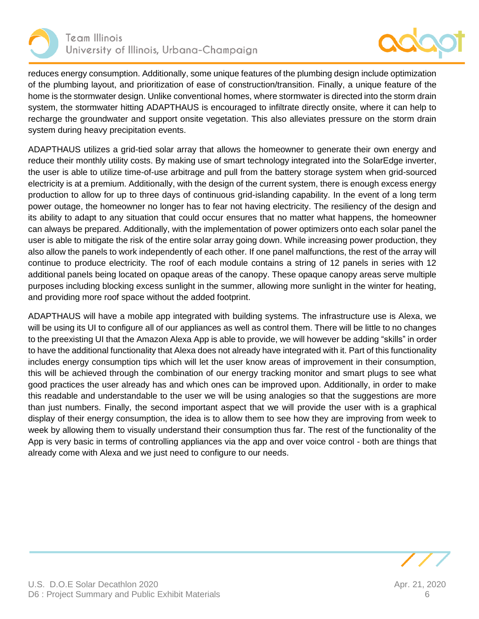



reduces energy consumption. Additionally, some unique features of the plumbing design include optimization of the plumbing layout, and prioritization of ease of construction/transition. Finally, a unique feature of the home is the stormwater design. Unlike conventional homes, where stormwater is directed into the storm drain system, the stormwater hitting ADAPTHAUS is encouraged to infiltrate directly onsite, where it can help to recharge the groundwater and support onsite vegetation. This also alleviates pressure on the storm drain system during heavy precipitation events.

ADAPTHAUS utilizes a grid-tied solar array that allows the homeowner to generate their own energy and reduce their monthly utility costs. By making use of smart technology integrated into the SolarEdge inverter, the user is able to utilize time-of-use arbitrage and pull from the battery storage system when grid-sourced electricity is at a premium. Additionally, with the design of the current system, there is enough excess energy production to allow for up to three days of continuous grid-islanding capability. In the event of a long term power outage, the homeowner no longer has to fear not having electricity. The resiliency of the design and its ability to adapt to any situation that could occur ensures that no matter what happens, the homeowner can always be prepared. Additionally, with the implementation of power optimizers onto each solar panel the user is able to mitigate the risk of the entire solar array going down. While increasing power production, they also allow the panels to work independently of each other. If one panel malfunctions, the rest of the array will continue to produce electricity. The roof of each module contains a string of 12 panels in series with 12 additional panels being located on opaque areas of the canopy. These opaque canopy areas serve multiple purposes including blocking excess sunlight in the summer, allowing more sunlight in the winter for heating, and providing more roof space without the added footprint.

<span id="page-5-0"></span>ADAPTHAUS will have a mobile app integrated with building systems. The infrastructure use is Alexa, we will be using its UI to configure all of our appliances as well as control them. There will be little to no changes to the preexisting UI that the Amazon Alexa App is able to provide, we will however be adding "skills" in order to have the additional functionality that Alexa does not already have integrated with it. Part of this functionality includes energy consumption tips which will let the user know areas of improvement in their consumption, this will be achieved through the combination of our energy tracking monitor and smart plugs to see what good practices the user already has and which ones can be improved upon. Additionally, in order to make this readable and understandable to the user we will be using analogies so that the suggestions are more than just numbers. Finally, the second important aspect that we will provide the user with is a graphical display of their energy consumption, the idea is to allow them to see how they are improving from week to week by allowing them to visually understand their consumption thus far. The rest of the functionality of the App is very basic in terms of controlling appliances via the app and over voice control - both are things that already come with Alexa and we just need to configure to our needs.

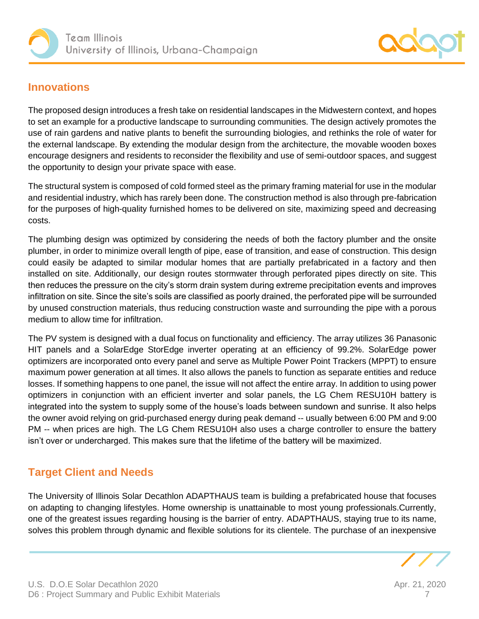



#### **Innovations**

The proposed design introduces a fresh take on residential landscapes in the Midwestern context, and hopes to set an example for a productive landscape to surrounding communities. The design actively promotes the use of rain gardens and native plants to benefit the surrounding biologies, and rethinks the role of water for the external landscape. By extending the modular design from the architecture, the movable wooden boxes encourage designers and residents to reconsider the flexibility and use of semi-outdoor spaces, and suggest the opportunity to design your private space with ease.

The structural system is composed of cold formed steel as the primary framing material for use in the modular and residential industry, which has rarely been done. The construction method is also through pre-fabrication for the purposes of high-quality furnished homes to be delivered on site, maximizing speed and decreasing costs.

The plumbing design was optimized by considering the needs of both the factory plumber and the onsite plumber, in order to minimize overall length of pipe, ease of transition, and ease of construction. This design could easily be adapted to similar modular homes that are partially prefabricated in a factory and then installed on site. Additionally, our design routes stormwater through perforated pipes directly on site. This then reduces the pressure on the city's storm drain system during extreme precipitation events and improves infiltration on site. Since the site's soils are classified as poorly drained, the perforated pipe will be surrounded by unused construction materials, thus reducing construction waste and surrounding the pipe with a porous medium to allow time for infiltration.

The PV system is designed with a dual focus on functionality and efficiency. The array utilizes 36 Panasonic HIT panels and a SolarEdge StorEdge inverter operating at an efficiency of 99.2%. SolarEdge power optimizers are incorporated onto every panel and serve as Multiple Power Point Trackers (MPPT) to ensure maximum power generation at all times. It also allows the panels to function as separate entities and reduce losses. If something happens to one panel, the issue will not affect the entire array. In addition to using power optimizers in conjunction with an efficient inverter and solar panels, the LG Chem RESU10H battery is integrated into the system to supply some of the house's loads between sundown and sunrise. It also helps the owner avoid relying on grid-purchased energy during peak demand -- usually between 6:00 PM and 9:00 PM -- when prices are high. The LG Chem RESU10H also uses a charge controller to ensure the battery isn't over or undercharged. This makes sure that the lifetime of the battery will be maximized.

## <span id="page-6-0"></span>**Target Client and Needs**

The University of Illinois Solar Decathlon ADAPTHAUS team is building a prefabricated house that focuses on adapting to changing lifestyles. Home ownership is unattainable to most young professionals.Currently, one of the greatest issues regarding housing is the barrier of entry. ADAPTHAUS, staying true to its name, solves this problem through dynamic and flexible solutions for its clientele. The purchase of an inexpensive

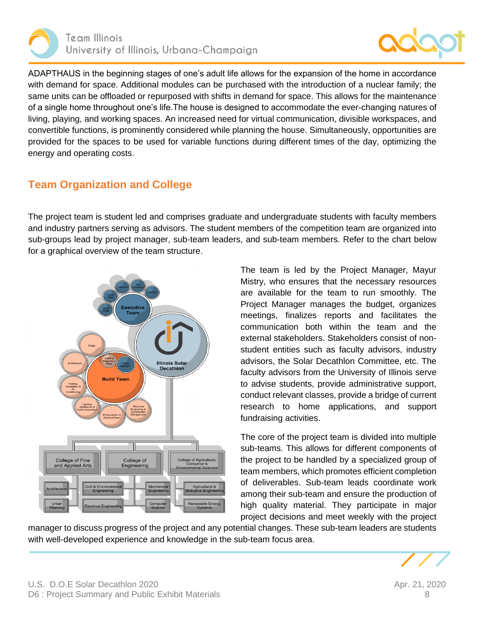



ADAPTHAUS in the beginning stages of one's adult life allows for the expansion of the home in accordance with demand for space. Additional modules can be purchased with the introduction of a nuclear family; the same units can be offloaded or repurposed with shifts in demand for space. This allows for the maintenance of a single home throughout one's life.The house is designed to accommodate the ever-changing natures of living, playing, and working spaces. An increased need for virtual communication, divisible workspaces, and convertible functions, is prominently considered while planning the house. Simultaneously, opportunities are provided for the spaces to be used for variable functions during different times of the day, optimizing the energy and operating costs.

#### <span id="page-7-0"></span>**Team Organization and College**

The project team is student led and comprises graduate and undergraduate students with faculty members and industry partners serving as advisors. The student members of the competition team are organized into sub-groups lead by project manager, sub-team leaders, and sub-team members. Refer to the chart below for a graphical overview of the team structure.



The team is led by the Project Manager, Mayur Mistry, who ensures that the necessary resources are available for the team to run smoothly. The Project Manager manages the budget, organizes meetings, finalizes reports and facilitates the communication both within the team and the external stakeholders. Stakeholders consist of nonstudent entities such as faculty advisors, industry advisors, the Solar Decathlon Committee, etc. The faculty advisors from the University of Illinois serve to advise students, provide administrative support, conduct relevant classes, provide a bridge of current research to home applications, and support fundraising activities.

The core of the project team is divided into multiple sub-teams. This allows for different components of the project to be handled by a specialized group of team members, which promotes efficient completion of deliverables. Sub-team leads coordinate work among their sub-team and ensure the production of high quality material. They participate in major project decisions and meet weekly with the project

manager to discuss progress of the project and any potential changes. These sub-team leaders are students with well-developed experience and knowledge in the sub-team focus area.